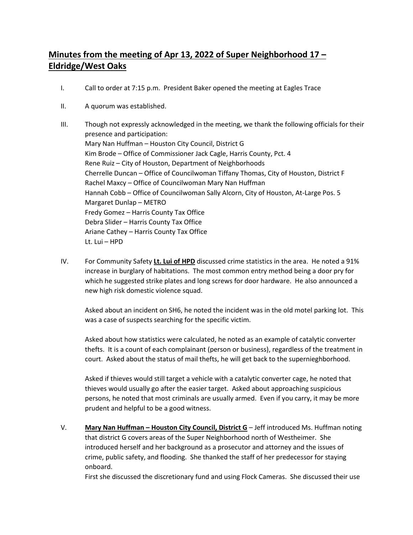## **Minutes from the meeting of Apr 13, 2022 of Super Neighborhood 17 – Eldridge/West Oaks**

- I. Call to order at 7:15 p.m. President Baker opened the meeting at Eagles Trace
- II. A quorum was established.
- III. Though not expressly acknowledged in the meeting, we thank the following officials for their presence and participation: Mary Nan Huffman – Houston City Council, District G Kim Brode – Office of Commissioner Jack Cagle, Harris County, Pct. 4 Rene Ruiz – City of Houston, Department of Neighborhoods Cherrelle Duncan – Office of Councilwoman Tiffany Thomas, City of Houston, District F Rachel Maxcy – Office of Councilwoman Mary Nan Huffman Hannah Cobb – Office of Councilwoman Sally Alcorn, City of Houston, At-Large Pos. 5 Margaret Dunlap – METRO Fredy Gomez – Harris County Tax Office Debra Slider – Harris County Tax Office Ariane Cathey – Harris County Tax Office Lt. Lui – HPD
- IV. For Community Safety **Lt. Lui of HPD** discussed crime statistics in the area. He noted a 91% increase in burglary of habitations. The most common entry method being a door pry for which he suggested strike plates and long screws for door hardware. He also announced a new high risk domestic violence squad.

Asked about an incident on SH6, he noted the incident was in the old motel parking lot. This was a case of suspects searching for the specific victim.

Asked about how statistics were calculated, he noted as an example of catalytic converter thefts. It is a count of each complainant (person or business), regardless of the treatment in court. Asked about the status of mail thefts, he will get back to the supernieghborhood.

Asked if thieves would still target a vehicle with a catalytic converter cage, he noted that thieves would usually go after the easier target. Asked about approaching suspicious persons, he noted that most criminals are usually armed. Even if you carry, it may be more prudent and helpful to be a good witness.

V. **Mary Nan Huffman – Houston City Council, District G** – Jeff introduced Ms. Huffman noting that district G covers areas of the Super Neighborhood north of Westheimer. She introduced herself and her background as a prosecutor and attorney and the issues of crime, public safety, and flooding. She thanked the staff of her predecessor for staying onboard.

First she discussed the discretionary fund and using Flock Cameras. She discussed their use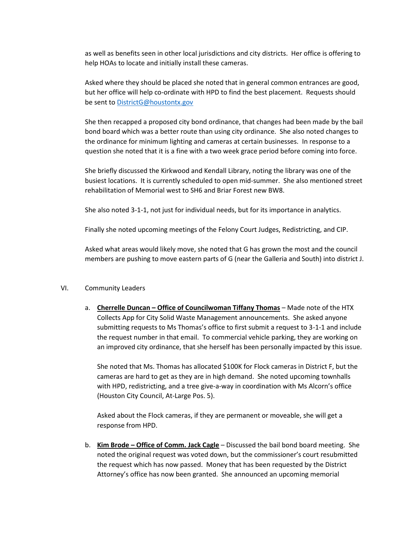as well as benefits seen in other local jurisdictions and city districts. Her office is offering to help HOAs to locate and initially install these cameras.

Asked where they should be placed she noted that in general common entrances are good, but her office will help co-ordinate with HPD to find the best placement. Requests should be sent t[o DistrictG@houstontx.gov](about:blank)

She then recapped a proposed city bond ordinance, that changes had been made by the bail bond board which was a better route than using city ordinance. She also noted changes to the ordinance for minimum lighting and cameras at certain businesses. In response to a question she noted that it is a fine with a two week grace period before coming into force.

She briefly discussed the Kirkwood and Kendall Library, noting the library was one of the busiest locations. It is currently scheduled to open mid-summer. She also mentioned street rehabilitation of Memorial west to SH6 and Briar Forest new BW8.

She also noted 3-1-1, not just for individual needs, but for its importance in analytics.

Finally she noted upcoming meetings of the Felony Court Judges, Redistricting, and CIP.

Asked what areas would likely move, she noted that G has grown the most and the council members are pushing to move eastern parts of G (near the Galleria and South) into district J.

## VI. Community Leaders

a. **Cherrelle Duncan – Office of Councilwoman Tiffany Thomas** – Made note of the HTX Collects App for City Solid Waste Management announcements. She asked anyone submitting requests to Ms Thomas's office to first submit a request to 3-1-1 and include the request number in that email. To commercial vehicle parking, they are working on an improved city ordinance, that she herself has been personally impacted by this issue.

She noted that Ms. Thomas has allocated \$100K for Flock cameras in District F, but the cameras are hard to get as they are in high demand. She noted upcoming townhalls with HPD, redistricting, and a tree give-a-way in coordination with Ms Alcorn's office (Houston City Council, At-Large Pos. 5).

Asked about the Flock cameras, if they are permanent or moveable, she will get a response from HPD.

b. **Kim Brode – Office of Comm. Jack Cagle** – Discussed the bail bond board meeting. She noted the original request was voted down, but the commissioner's court resubmitted the request which has now passed. Money that has been requested by the District Attorney's office has now been granted. She announced an upcoming memorial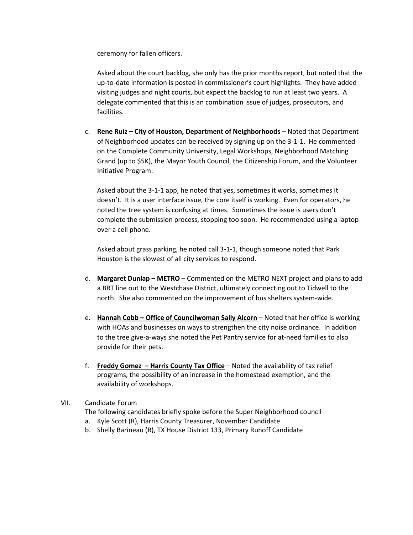ceremony for fallen officers.

Asked about the court backlog, she only has the prior months report, but noted that the up-to-date information is posted in commissioner's court highlights. They have added visiting judges and night courts, but expect the backlog to run at least two years. A delegate commented that this is an combination issue of judges, prosecutors, and facilities.

c. **Rene Ruiz – City of Houston, Department of Neighborhoods** – Noted that Department of Neighborhood updates can be received by signing up on the 3-1-1. He commented on the Complete Community University, Legal Workshops, Neighborhood Matching Grand (up to \$5K), the Mayor Youth Council, the Citizenship Forum, and the Volunteer Initiative Program.

Asked about the 3-1-1 app, he noted that yes, sometimes it works, sometimes it doesn't. It is a user interface issue, the core itself is working. Even for operators, he noted the tree system is confusing at times. Sometimes the issue is users don't complete the submission process, stopping too soon. He recommended using a laptop over a cell phone.

Asked about grass parking, he noted call 3-1-1, though someone noted that Park Houston is the slowest of all city services to respond.

- d. **Margaret Dunlap – METRO** Commented on the METRO NEXT project and plans to add a BRT line out to the Westchase District, ultimately connecting out to Tidwell to the north. She also commented on the improvement of bus shelters system-wide.
- e. **Hannah Cobb – Office of Councilwoman Sally Alcorn** Noted that her office is working with HOAs and businesses on ways to strengthen the city noise ordinance. In addition to the tree give-a-ways she noted the Pet Pantry service for at-need families to also provide for their pets.
- f. **Freddy Gomez – Harris County Tax Office** Noted the availability of tax relief programs, the possibility of an increase in the homestead exemption, and the availability of workshops.
- VII. Candidate Forum
	- The following candidates briefly spoke before the Super Neighborhood council
	- a. Kyle Scott (R), Harris County Treasurer, November Candidate
	- b. Shelly Barineau (R), TX House District 133, Primary Runoff Candidate